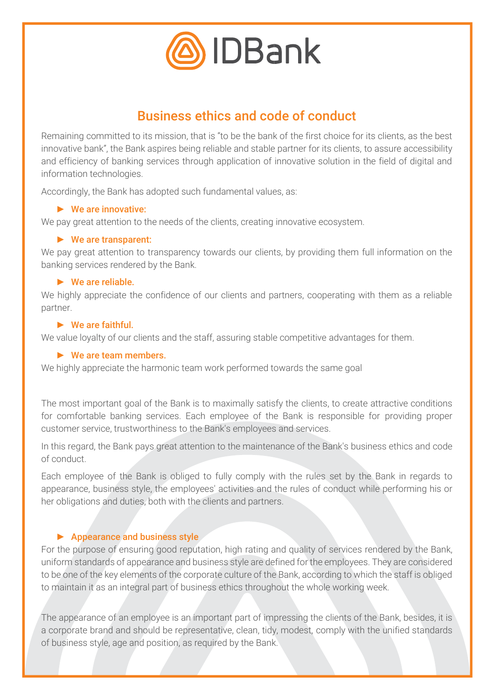

# Business ethics and code of conduct

Remaining committed to its mission, that is "to be the bank of the first choice for its clients, as the best innovative bank", the Bank aspires being reliable and stable partner for its clients, to assure accessibility and efficiency of banking services through application of innovative solution in the field of digital and information technologies.

Accordingly, the Bank has adopted such fundamental values, as:

#### ► We are innovative:

We pay great attention to the needs of the clients, creating innovative ecosystem.

#### ► We are transparent:

We pay great attention to transparency towards our clients, by providing them full information on the banking services rendered by the Bank.

#### ► We are reliable.

We highly appreciate the confidence of our clients and partners, cooperating with them as a reliable partner.

#### ► We are faithful.

We value loyalty of our clients and the staff, assuring stable competitive advantages for them.

## ► We are team members.

We highly appreciate the harmonic team work performed towards the same goal

The most important goal of the Bank is to maximally satisfy the clients, to create attractive conditions for comfortable banking services. Each employee of the Bank is responsible for providing proper customer service, trustworthiness to the Bank's employees and services.

In this regard, the Bank pays great attention to the maintenance of the Bank's business ethics and code of conduct.

Each employee of the Bank is obliged to fully comply with the rules set by the Bank in regards to appearance, business style, the employees' activities and the rules of conduct while performing his or her obligations and duties, both with the clients and partners.

# ► Appearance and business style

For the purpose of ensuring good reputation, high rating and quality of services rendered by the Bank, uniform standards of appearance and business style are defined for the employees. They are considered to be one of the key elements of the corporate culture of the Bank, according to which the staff is obliged to maintain it as an integral part of business ethics throughout the whole working week.

The appearance of an employee is an important part of impressing the clients of the Bank, besides, it is a corporate brand and should be representative, clean, tidy, modest, comply with the unified standards of business style, age and position, as required by the Bank.